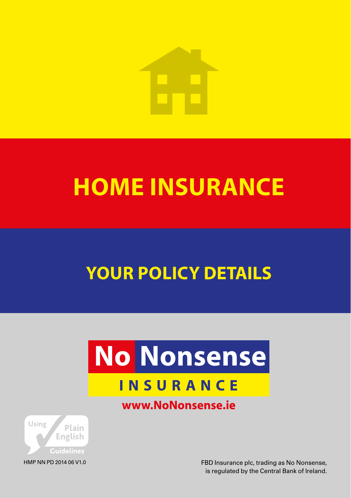

## **HOME INSURANCE**

## **YOUR POLICY** DETAILS

# **No Nonsense**

## **INSURANCE**

### www.NoNonsense.ie



FBD Insurance plc, trading as No Nonsense, is regulated by the Central Bank of Ireland.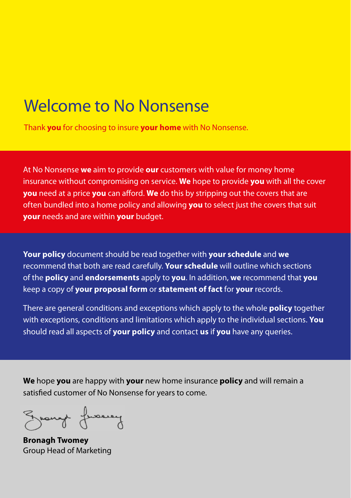## Welcome to No Nonsense

Thank **you** for choosing to insure **your home** with No Nonsense.

At No Nonsense **we** aim to provide **our** customers with value for money home insurance without compromising on service. **We** hope to provide **you** with all the cover **you** need at a price **you** can afford. **We** do this by stripping out the covers that are often bundled into a home policy and allowing **you** to select just the covers that suit **your** needs and are within **your** budget.

**Your policy** document should be read together with **your schedule** and **we** recommend that both are read carefully. **Your schedule** will outline which sections of the **policy** and **endorsements** apply to **you**. In addition, **we** recommend that **you** keep a copy of **your proposal form** or **statement of fact** for **your** records.

There are general conditions and exceptions which apply to the whole **policy** together with exceptions, conditions and limitations which apply to the individual sections. **You** should read all aspects of **your policy** and contact **us** if **you** have any queries.

**We** hope **you** are happy with **your** new home insurance **policy** and will remain a satisfied customer of No Nonsense for years to come.

Ground fromey

**Bronagh Twomey** Group Head of Marketing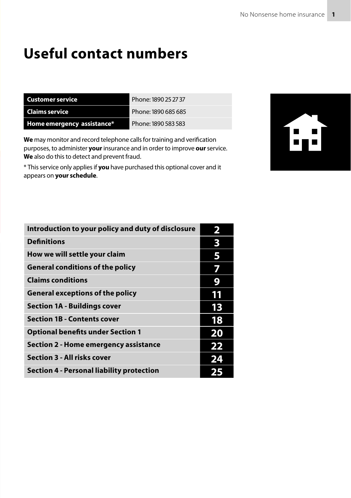## **Useful contact numbers**

| Customer service           | Phone: 1890 25 27 37 |
|----------------------------|----------------------|
| Claims service             | Phone: 1890 685 685  |
| Home emergency assistance* | Phone: 1890 583 583  |

**We** may monitor and record telephone calls for training and verification purposes, to administer **your** insurance and in order to improve **our** service. **We** also do this to detect and prevent fraud.

\* This service only applies if **you** have purchased this optional cover and it appears on **your schedule**.



| Introduction to your policy and duty of disclosure | 2  |
|----------------------------------------------------|----|
| <b>Definitions</b>                                 | 3  |
| How we will settle your claim                      | 5  |
| <b>General conditions of the policy</b>            | 7  |
| <b>Claims conditions</b>                           | 9  |
| <b>General exceptions of the policy</b>            | 11 |
| <b>Section 1A - Buildings cover</b>                | 13 |
| <b>Section 1B - Contents cover</b>                 | 18 |
| <b>Optional benefits under Section 1</b>           | 20 |
| Section 2 - Home emergency assistance              | 22 |
| <b>Section 3 - All risks cover</b>                 | 24 |
| Section 4 - Personal liability protection          |    |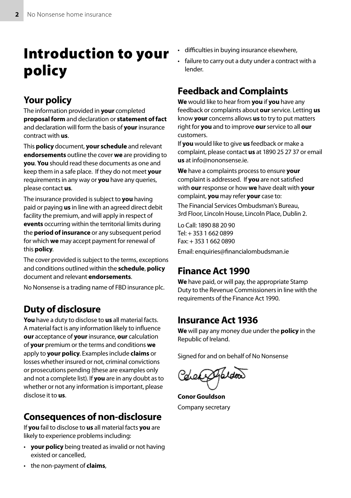## Introduction to your policy

### Your policy

The information provided in **your** completed **proposal form** and declaration or **statement of fact** and declaration will form the basis of **your** insurance contract with **us**.

This **policy** document, **your schedule** and relevant **endorsements** outline the cover **we** are providing to **you**. **You** should read these documents as one and keep them in a safe place. If they do not meet **your** requirements in any way or **you** have any queries, please contact **us**.

The insurance provided is subject to **you** having paid or paying **us** in line with an agreed direct debit facility the premium, and will apply in respect of **events** occurring within the territorial limits during the **period of insurance** or any subsequent period for which **we** may accept payment for renewal of this **policy**.

The cover provided is subject to the terms, exceptions and conditions outlined within the **schedule**, **policy** document and relevant **endorsements**.

No Nonsense is a trading name of FBD insurance plc.

### Duty of disclosure

**You** have a duty to disclose to **us** all material facts. A material fact is any information likely to influence **our** acceptance of **your** insurance, **our** calculation of **your** premium or the terms and conditions **we** apply to **your policy**. Examples include **claims** or losses whether insured or not, criminal convictions or prosecutions pending (these are examples only and not a complete list). If **you** are in any doubt as to whether or not any information is important, please disclose it to **us**.

### Consequences of non-disclosure

If **you** fail to disclose to **us** all material facts **you** are likely to experience problems including:

• **your policy** being treated as invalid or not having existed or cancelled,

- difficulties in buying insurance elsewhere,
- failure to carry out a duty under a contract with a lender.

### Feedback and Complaints

**We** would like to hear from **you** if **you** have any feedback or complaints about **our** service. Letting **us** know **your** concerns allows **us** to try to put matters right for **you** and to improve **our** service to all **our** customers.

If **you** would like to give **us** feedback or make a complaint, please contact **us** at 1890 25 27 37 or email **us** at info@nononsense.ie.

**We** have a complaints process to ensure **your** complaint is addressed. If **you** are not satisfied with **our** response or how **we** have dealt with **your** complaint, **you** may refer **your** case to:

The Financial Services Ombudsman's Bureau, 3rd Floor, Lincoln House, Lincoln Place, Dublin 2.

Lo Call: 1890 88 20 90 Tel: + 353 1 662 0899  $Fay + 35316620890$ 

Email: enquiries@financialombudsman.ie

### Finance Act 1990

**We** have paid, or will pay, the appropriate Stamp Duty to the Revenue Commissioners in line with the requirements of the Finance Act 1990.

### Insurance Act 1936

**We** will pay any money due under the **policy** in the Republic of Ireland.

Signed for and on behalf of No Nonsense

Colematoridoo

**Conor Gouldson** Company secretary

• the non-payment of **claims**,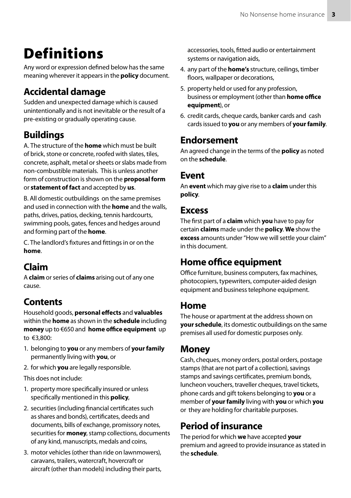## **Definitions**

Any word or expression defined below has the same meaning wherever it appears in the **policy** document.

### Accidental damage

Sudden and unexpected damage which is caused unintentionally and is not inevitable or the result of a pre-existing or gradually operating cause.

### Buildings

A. The structure of the **home** which must be built of brick, stone or concrete, roofed with slates, tiles, concrete, asphalt, metal or sheets or slabs made from non-combustible materials. This is unless another form of construction is shown on the **proposal form** or **statement of fact** and accepted by **us**.

B. All domestic outbuildings on the same premises and used in connection with the **home** and the walls, paths, drives, patios, decking, tennis hardcourts, swimming pools, gates, fences and hedges around and forming part of the **home**.

C. The landlord's fixtures and fittings in or on the **home**.

### Claim

A **claim** or series of **claims** arising out of any one cause.

### Contents

Household goods, **personal effects** and **valuables** within the **home** as shown in the **schedule** including **money** up to €650 and **home office equipment** up to €3,800:

- 1. belonging to **you** or any members of **your family** permanently living with **you**, or
- 2. for which **you** are legally responsible.

This does not include:

- 1. property more specifically insured or unless specifically mentioned in this **policy**,
- 2. securities (including financial certificates such as shares and bonds), certificates, deeds and documents, bills of exchange, promissory notes, securities for **money**, stamp collections, documents of any kind, manuscripts, medals and coins,
- 3. motor vehicles (other than ride on lawnmowers), caravans, trailers, watercraft, hovercraft or aircraft (other than models) including their parts,

accessories, tools, fitted audio or entertainment systems or navigation aids,

- 4. any part of the **home's** structure, ceilings, timber floors, wallpaper or decorations,
- 5. property held or used for any profession, business or employment (other than **home office equipment**), or
- 6. credit cards, cheque cards, banker cards and cash cards issued to **you** or any members of **your family**.

### Endorsement

An agreed change in the terms of the **policy** as noted on the **schedule**.

### Event

An **event** which may give rise to a **claim** under this **policy**.

### Excess

The first part of a **claim** which **you** have to pay for certain **claims** made under the **policy**. **We** show the **excess** amounts under "How we will settle your claim" in this document.

### Home office equipment

Office furniture, business computers, fax machines, photocopiers, typewriters, computer-aided design equipment and business telephone equipment.

### Home

The house or apartment at the address shown on **your schedule**, its domestic outbuildings on the same premises all used for domestic purposes only.

### Money

Cash, cheques, money orders, postal orders, postage stamps (that are not part of a collection), savings stamps and savings certificates, premium bonds, luncheon vouchers, traveller cheques, travel tickets, phone cards and gift tokens belonging to **you** or a member of **your family** living with **you** or which **you** or they are holding for charitable purposes.

### Period of insurance

The period for which **we** have accepted **your** premium and agreed to provide insurance as stated in the **schedule**.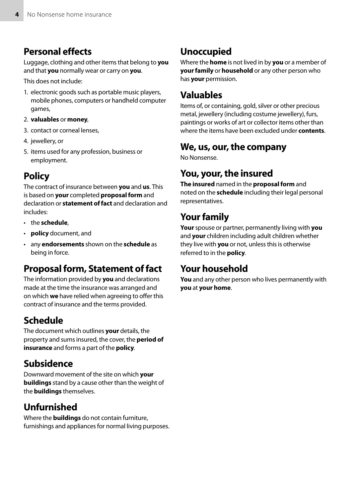### Personal effects

Luggage, clothing and other items that belong to **you** and that **you** normally wear or carry on **you**.

This does not include:

- 1. electronic goods such as portable music players, mobile phones, computers or handheld computer games,
- 2. **valuables** or **money**,
- 3. contact or corneal lenses,
- 4. jewellery, or
- 5. items used for any profession, business or employment.

### **Policy**

The contract of insurance between **you** and **us**. This is based on **your** completed **proposal form** and declaration or **statement of fact** and declaration and includes:

- the **schedule**,
- **policy** document, and
- any **endorsements** shown on the **schedule** as being in force.

### Proposal form, Statement of fact

The information provided by **you** and declarations made at the time the insurance was arranged and on which **we** have relied when agreeing to offer this contract of insurance and the terms provided.

### Schedule

The document which outlines **your** details, the property and sums insured, the cover, the **period of insurance** and forms a part of the **policy**.

### Subsidence

Downward movement of the site on which **your buildings** stand by a cause other than the weight of the **buildings** themselves.

### Unfurnished

Where the **buildings** do not contain furniture, furnishings and appliances for normal living purposes.

### Unoccupied

Where the **home** is not lived in by **you** or a member of **your family** or **household** or any other person who has **your** permission.

### Valuables

Items of, or containing, gold, silver or other precious metal, jewellery (including costume jewellery), furs, paintings or works of art or collector items other than where the items have been excluded under **contents**.

### We, us, our, the company

No Nonsense.

### You, your, the insured

**The insured** named in the **proposal form** and noted on the **schedule** including their legal personal representatives.

### Your family

**Your** spouse or partner, permanently living with **you** and **your** children including adult children whether they live with **you** or not, unless this is otherwise referred to in the **policy**.

### Your household

**You** and any other person who lives permanently with **you** at **your home**.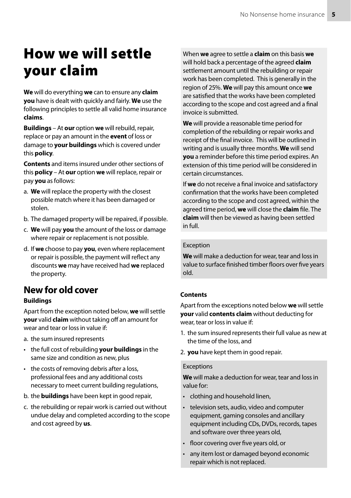## How we will settle your claim

**We** will do everything **we** can to ensure any **claim you** have is dealt with quickly and fairly. **We** use the following principles to settle all valid home insurance **claims**.

**Buildings** – At **our** option **we** will rebuild, repair, replace or pay an amount in the **event** of loss or damage to **your buildings** which is covered under this **policy**.

**Contents** and items insured under other sections of this **policy** – At **our** option **we** will replace, repair or pay **you** as follows:

- a. **We** will replace the property with the closest possible match where it has been damaged or stolen.
- b. The damaged property will be repaired, if possible.
- c. **We** will pay **you** the amount of the loss or damage where repair or replacement is not possible.
- d. If **we** choose to pay **you**, even where replacement or repair is possible, the payment will reflect any discounts **we** may have received had **we** replaced the property.

### New for old cover

#### **Buildings**

Apart from the exception noted below, **we** will settle **your** valid **claim** without taking off an amount for wear and tear or loss in value if:

- a. the sum insured represents
- the full cost of rebuilding **your buildings** in the same size and condition as new, plus
- the costs of removing debris after a loss, professional fees and any additional costs necessary to meet current building regulations,
- b. the **buildings** have been kept in good repair,
- c. the rebuilding or repair work is carried out without undue delay and completed according to the scope and cost agreed by **us**.

When **we** agree to settle a **claim** on this basis **we** will hold back a percentage of the agreed **claim** settlement amount until the rebuilding or repair work has been completed. This is generally in the region of 25%. **We** will pay this amount once **we** are satisfied that the works have been completed according to the scope and cost agreed and a final invoice is submitted.

**We** will provide a reasonable time period for completion of the rebuilding or repair works and receipt of the final invoice. This will be outlined in writing and is usually three months. **We** will send **you** a reminder before this time period expires. An extension of this time period will be considered in certain circumstances.

If **we** do not receive a final invoice and satisfactory confirmation that the works have been completed according to the scope and cost agreed, within the agreed time period, **we** will close the **claim** file. The **claim** will then be viewed as having been settled in full.

#### Exception

**We** will make a deduction for wear, tear and loss in value to surface finished timber floors over five years old.

#### **Contents**

Apart from the exceptions noted below **we** will settle **your** valid **contents claim** without deducting for wear, tear or loss in value if:

- 1. the sum insured represents their full value as new at the time of the loss, and
- 2. **you** have kept them in good repair.

#### Exceptions

**We** will make a deduction for wear, tear and loss in value for:

- clothing and household linen,
- television sets, audio, video and computer equipment, gaming consoles and ancillary equipment including CDs, DVDs, records, tapes and software over three years old,
- floor covering over five years old, or
- any item lost or damaged beyond economic repair which is not replaced.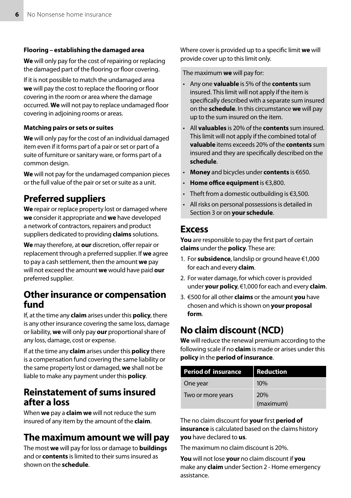#### **Flooring – establishing the damaged area**

**We** will only pay for the cost of repairing or replacing the damaged part of the flooring or floor covering.

If it is not possible to match the undamaged area **we** will pay the cost to replace the flooring or floor covering in the room or area where the damage occurred. **We** will not pay to replace undamaged floor covering in adjoining rooms or areas.

#### **Matching pairs or sets or suites**

**We** will only pay for the cost of an individual damaged item even if it forms part of a pair or set or part of a suite of furniture or sanitary ware, or forms part of a common design.

**We** will not pay for the undamaged companion pieces or the full value of the pair or set or suite as a unit.

### Preferred suppliers

**We** repair or replace property lost or damaged where **we** consider it appropriate and **we** have developed a network of contractors, repairers and product suppliers dedicated to providing **claims** solutions.

**We** may therefore, at **our** discretion, offer repair or replacement through a preferred supplier. If **we** agree to pay a cash settlement, then the amount **we** pay will not exceed the amount **we** would have paid **our** preferred supplier.

### Other insurance or compensation fund

If, at the time any **claim** arises under this **policy**, there is any other insurance covering the same loss, damage or liability, **we** will only pay **our** proportional share of any loss, damage, cost or expense.

If at the time any **claim** arises under this **policy** there is a compensation fund covering the same liability or the same property lost or damaged, **we** shall not be liable to make any payment under this **policy**.

### Reinstatement of sums insured after a loss

When **we** pay a **claim we** will not reduce the sum insured of any item by the amount of the **claim**.

### The maximum amount we will pay

The most **we** will pay for loss or damage to **buildings** and or **contents** is limited to their sums insured as shown on the **schedule**.

Where cover is provided up to a specific limit **we** will provide cover up to this limit only.

The maximum **we** will pay for:

- Any one **valuable** is 5% of the **contents** sum insured. This limit will not apply if the item is specifically described with a separate sum insured on the **schedule**. In this circumstance **we** will pay up to the sum insured on the item.
- All **valuables** is 20% of the **contents** sum insured. This limit will not apply if the combined total of **valuable** items exceeds 20% of the **contents** sum insured and they are specifically described on the **schedule**.
- **Money** and bicycles under **contents** is €650.
- **Home office equipment** is €3,800.
- Theft from a domestic outbuilding is €3,500.
- All risks on personal possessions is detailed in Section 3 or on **your schedule**.

### **Fxcess**

**You** are responsible to pay the first part of certain **claims** under the **policy**. These are:

- 1. For **subsidence**, landslip or ground heave €1,000 for each and every **claim**.
- 2. For water damage, for which cover is provided under **your policy**, €1,000 for each and every **claim**.
- 3. €500 for all other **claims** or the amount **you** have chosen and which is shown on **your proposal form**.

### No claim discount (NCD)

**We** will reduce the renewal premium according to the following scale if no **claim** is made or arises under this **policy** in the **period of insurance**.

| <b>Period of insurance</b> | <b>Reduction</b>        |
|----------------------------|-------------------------|
| One year                   | 10%                     |
| Two or more years          | <b>20%</b><br>(maximum) |

The no claim discount for **your** first **period of insurance** is calculated based on the claims history **you** have declared to **us**.

The maximum no claim discount is 20%.

**You** will not lose **your** no claim discount if **you** make any **claim** under Section 2 - Home emergency assistance.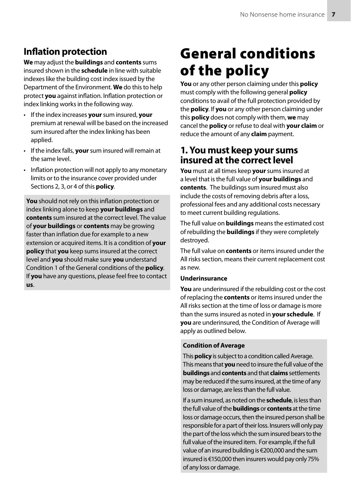### Inflation protection

**We** may adjust the **buildings** and **contents** sums insured shown in the **schedule** in line with suitable indexes like the building cost index issued by the Department of the Environment. **We** do this to help protect **you** against inflation. Inflation protection or index linking works in the following way.

- If the index increases **your** sum insured, **your** premium at renewal will be based on the increased sum insured after the index linking has been applied.
- If the index falls, **your** sum insured will remain at the same level.
- Inflation protection will not apply to any monetary limits or to the insurance cover provided under Sections 2, 3, or 4 of this **policy**.

**You** should not rely on this inflation protection or index linking alone to keep **your buildings** and **contents** sum insured at the correct level. The value of **your buildings** or **contents** may be growing faster than inflation due for example to a new extension or acquired items. It is a condition of **your policy** that **you** keep sums insured at the correct level and **you** should make sure **you** understand Condition 1 of the General conditions of the **policy**. If **you** have any questions, please feel free to contact **us**.

## General conditions of the policy

**You** or any other person claiming under this **policy** must comply with the following general **policy** conditions to avail of the full protection provided by the **policy**. If **you** or any other person claiming under this **policy** does not comply with them, **we** may cancel the **policy** or refuse to deal with **your claim** or reduce the amount of any **claim** payment.

### 1. You must keep your sums insured at the correct level

**You** must at all times keep **your** sums insured at a level that is the full value of **your buildings** and **contents**. The buildings sum insured must also include the costs of removing debris after a loss, professional fees and any additional costs necessary to meet current building regulations.

The full value on **buildings** means the estimated cost of rebuilding the **buildings** if they were completely destroyed.

The full value on **contents** or items insured under the All risks section, means their current replacement cost as new.

#### **Underinsurance**

**You** are underinsured if the rebuilding cost or the cost of replacing the **contents** or items insured under the All risks section at the time of loss or damage is more than the sums insured as noted in **your schedule**. If **you** are underinsured, the Condition of Average will apply as outlined below.

#### **Condition of Average**

This **policy** is subject to a condition called Average. This means that **you** need to insure the full value of the **buildings** and **contents** and that **claims** settlements may be reduced if the sums insured, at the time of any loss or damage, are less than the full value.

If a sum insured, as noted on the **schedule**, is less than the full value of the **buildings** or **contents** at the time loss or damage occurs, then the insured person shall be responsible for a part of their loss. Insurers will only pay the part of the loss which the sum insured bears to the full value of the insured item. For example, if the full value of an insured building is €200,000 and the sum insured is €150,000 then insurers would pay only 75% of any loss or damage.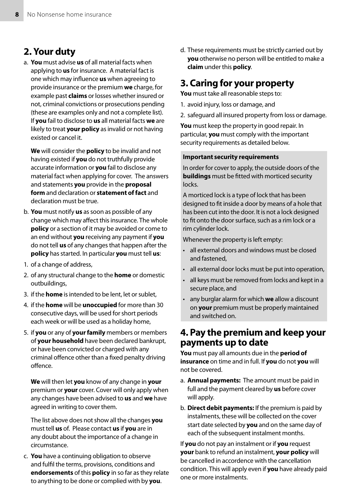### 2. Your duty

a. **You** must advise **us** of all material facts when applying to **us** for insurance. A material fact is one which may influence **us** when agreeing to provide insurance or the premium **we** charge, for example past **claims** or losses whether insured or not, criminal convictions or prosecutions pending (these are examples only and not a complete list). If **you** fail to disclose to **us** all material facts **we** are likely to treat **your policy** as invalid or not having existed or cancel it.

**We** will consider the **policy** to be invalid and not having existed if **you** do not truthfully provide accurate information or **you** fail to disclose any material fact when applying for cover. The answers and statements **you** provide in the **proposal form** and declaration or **statement of fact** and declaration must be true.

- b. **You** must notify **us** as soon as possible of any change which may affect this insurance. The whole **policy** or a section of it may be avoided or come to an end without **you** receiving any payment if **you** do not tell **us** of any changes that happen after the **policy** has started. In particular **you** must tell **us**:
- 1. of a change of address,
- 2. of any structural change to the **home** or domestic outbuildings,
- 3. if the **home** is intended to be lent, let or sublet,
- 4. if the **home** will be **unoccupied** for more than 30 consecutive days, will be used for short periods each week or will be used as a holiday home,
- 5. if **you** or any of **your family** members or members of **your household** have been declared bankrupt, or have been convicted or charged with any criminal offence other than a fixed penalty driving offence.

**We** will then let **you** know of any change in **your** premium or **your** cover. Cover will only apply when any changes have been advised to **us** and **we** have agreed in writing to cover them.

The list above does not show all the changes **you** must tell **us** of. Please contact **us** if **you** are in any doubt about the importance of a change in circumstance.

c. **You** have a continuing obligation to observe and fulfil the terms, provisions, conditions and **endorsements** of this **policy** in so far as they relate to anything to be done or complied with by **you**.

d. These requirements must be strictly carried out by **you** otherwise no person will be entitled to make a **claim** under this **policy**.

### 3. Caring for **your** property

**You** must take all reasonable steps to:

- 1. avoid injury, loss or damage, and
- 2. safeguard all insured property from loss or damage.

**You** must keep the property in good repair. In particular, **you** must comply with the important security requirements as detailed below.

#### **Important security requirements**

In order for cover to apply, the outside doors of the **buildings** must be fitted with morticed security locks.

A morticed lock is a type of lock that has been designed to fit inside a door by means of a hole that has been cut into the door. It is not a lock designed to fit onto the door surface, such as a rim lock or a rim cylinder lock.

Whenever the property is left empty:

- all external doors and windows must be closed and fastened,
- all external door locks must be put into operation,
- all keys must be removed from locks and kept in a secure place, and
- any burglar alarm for which **we** allow a discount on **your** premium must be properly maintained and switched on.

### 4. Pay the premium and keep your payments up to date

**You** must pay all amounts due in the **period of insurance** on time and in full. If **you** do not **you** will not be covered.

- a. **Annual payments:** The amount must be paid in full and the payment cleared by **us** before cover will apply.
- b. **Direct debit payments:** If the premium is paid by instalments, these will be collected on the cover start date selected by **you** and on the same day of each of the subsequent instalment months.

If **you** do not pay an instalment or if **you** request **your** bank to refund an instalment, **your policy** will be cancelled in accordence with the cancellation condition. This will apply even if **you** have already paid one or more instalments.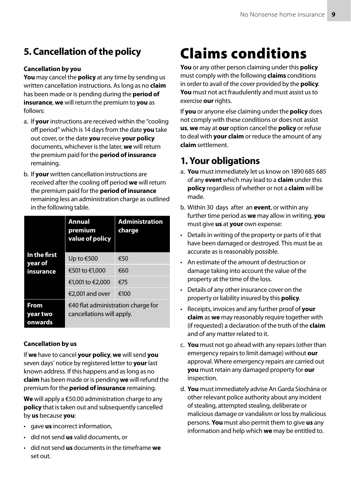### 5. Cancellation of the policy

#### **Cancellation by you**

**You** may cancel the **policy** at any time by sending us written cancellation instructions. As long as no **claim** has been made or is pending during the **period of insurance**, **we** will return the premium to **you** as follows:

- a. If **your** instructions are received within the "cooling off period" which is 14 days from the date **you** take out cover, or the date **you** receive **your policy** documents, whichever is the later, **we** will return the premium paid for the **period of insurance** remaining.
- b. If **your** written cancellation instructions are received after the cooling off period **we** will return the premium paid for the **period of insurance** remaining less an administration charge as outlined in the following table.

|                             | <b>Annual</b><br>premium<br>value of policy                               | <b>Administration</b><br>charge |
|-----------------------------|---------------------------------------------------------------------------|---------------------------------|
| In the first<br>year of     | Up to €500                                                                | €50                             |
| insurance                   | €501 to €1,000                                                            | €60                             |
|                             | €1,001 to €2,000                                                          | €75                             |
|                             | €2.001 and over                                                           | €100                            |
| From<br>year two<br>onwards | $\epsilon$ 40 flat administration charge for<br>cancellations will apply. |                                 |

#### **Cancellation by us**

If **we** have to cancel **your policy**, **we** will send **you** seven days' notice by registered letter to **your** last known address. If this happens and as long as no **claim** has been made or is pending **we** will refund the premium for the **period of insurance** remaining.

**We** will apply a €50.00 administration charge to any **policy** that is taken out and subsequently cancelled by **us** because **you**:

- gave **us** incorrect information,
- did not send **us** valid documents, or
- did not send **us** documents in the timeframe **we** set out.

## Claims conditions

**You** or any other person claiming under this **policy** must comply with the following **claims** conditions in order to avail of the cover provided by the **policy**. **You** must not act fraudulently and must assist us to exercise **our** rights.

If **you** or anyone else claiming under the **policy** does not comply with these conditions or does not assist **us**, **we** may at **our** option cancel the **policy** or refuse to deal with **your claim** or reduce the amount of any **claim** settlement.

### 1. Your obligations

- a. **You** must immediately let us know on 1890 685 685 of any **event** which may lead to a **claim** under this **policy** regardless of whether or not a **claim** will be made.
- b. Within 30 days after an **event**, or within any further time period as **we** may allow in writing, **you** must give **us** at **your** own expense:
- Details in writing of the property or parts of it that have been damaged or destroyed. This must be as accurate as is reasonably possible.
- An estimate of the amount of destruction or damage taking into account the value of the property at the time of the loss.
- Details of any other insurance cover on the property or liability insured by this **policy**.
- Receipts, invoices and any further proof of **your claim** as **we** may reasonably require together with (if requested) a declaration of the truth of the **claim** and of any matter related to it.
- c. **You** must not go ahead with any repairs (other than emergency repairs to limit damage) without **our** approval. Where emergency repairs are carried out **you** must retain any damaged property for **our** inspection.
- d. **You** must immediately advise An Garda Síochána or other relevant police authority about any incident of stealing, attempted stealing, deliberate or malicious damage or vandalism or loss by malicious persons. **You** must also permit them to give **us** any information and help which **we** may be entitled to.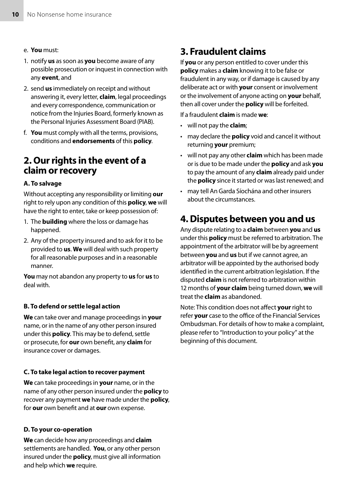- e. **You** must:
- 1. notify **us** as soon as **you** become aware of any possible prosecution or inquest in connection with any **event**, and
- 2. send **us** immediately on receipt and without answering it, every letter, **claim**, legal proceedings and every correspondence, communication or notice from the Injuries Board, formerly known as the Personal Injuries Assessment Board (PIAB).
- f. **You** must comply with all the terms, provisions, conditions and **endorsements** of this **policy**.

### 2. Our rights in the event of a claim or recovery

#### **A. To salvage**

Without accepting any responsibility or limiting **our** right to rely upon any condition of this **policy**, **we** will have the right to enter, take or keep possession of:

- 1. The **building** where the loss or damage has happened.
- 2. Any of the property insured and to ask for it to be provided to **us**. **We** will deal with such property for all reasonable purposes and in a reasonable manner.

**You** may not abandon any property to **us** for **us** to deal with.

#### **B. To defend or settle legal action**

**We** can take over and manage proceedings in **your** name, or in the name of any other person insured under this **policy**. This may be to defend, settle or prosecute, for **our** own benefit, any **claim** for insurance cover or damages.

#### **C. To take legal action to recover payment**

**We** can take proceedings in **your** name, or in the name of any other person insured under the **policy** to recover any payment **we** have made under the **policy**, for **our** own benefit and at **our** own expense.

#### **D. To your co-operation**

**We** can decide how any proceedings and **claim** settlements are handled. **You**, or any other person insured under the **policy**, must give all information and help which **we** require.

### 3. Fraudulent claims

If **you** or any person entitled to cover under this **policy** makes a **claim** knowing it to be false or fraudulent in any way, or if damage is caused by any deliberate act or with **your** consent or involvement or the involvement of anyone acting on **your** behalf, then all cover under the **policy** will be forfeited.

If a fraudulent **claim** is made **we**:

- will not pay the **claim**;
- may declare the **policy** void and cancel it without returning **your** premium;
- will not pay any other **claim** which has been made or is due to be made under the **policy** and ask **you** to pay the amount of any **claim** already paid under the **policy** since it started or was last renewed; and
- may tell An Garda Síochána and other insurers about the circumstances.

### 4. Disputes between you and us

Any dispute relating to a **claim** between **you** and **us** under this **policy** must be referred to arbitration. The appointment of the arbitrator will be by agreement between **you** and **us** but if we cannot agree, an arbitrator will be appointed by the authorised body identified in the current arbitration legislation. If the disputed **claim** is not referred to arbitration within 12 months of **your claim** being turned down, **we** will treat the **claim** as abandoned.

Note: This condition does not affect **your** right to refer **your** case to the office of the Financial Services Ombudsman. For details of how to make a complaint, please refer to "Introduction to your policy" at the beginning of this document.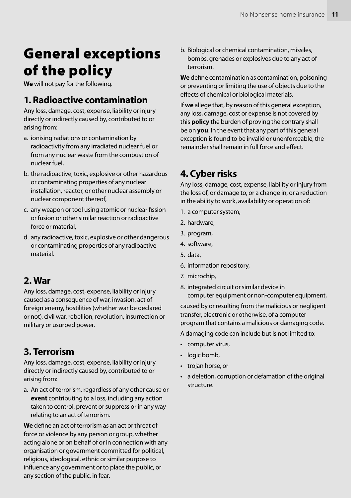## General exceptions of the policy

**We** will not pay for the following.

### 1. Radioactive contamination

Any loss, damage, cost, expense, liability or injury directly or indirectly caused by, contributed to or arising from:

- a. ionising radiations or contamination by radioactivity from any irradiated nuclear fuel or from any nuclear waste from the combustion of nuclear fuel,
- b. the radioactive, toxic, explosive or other hazardous or contaminating properties of any nuclear installation, reactor, or other nuclear assembly or nuclear component thereof,
- c. any weapon or tool using atomic or nuclear fission or fusion or other similar reaction or radioactive force or material,
- d. any radioactive, toxic, explosive or other dangerous or contaminating properties of any radioactive material.

### 2. War

Any loss, damage, cost, expense, liability or injury caused as a consequence of war, invasion, act of foreign enemy, hostilities (whether war be declared or not), civil war, rebellion, revolution, insurrection or military or usurped power.

### 3. Terrorism

Any loss, damage, cost, expense, liability or injury directly or indirectly caused by, contributed to or arising from:

a. An act of terrorism, regardless of any other cause or **event** contributing to a loss, including any action taken to control, prevent or suppress or in any way relating to an act of terrorism.

**We** define an act of terrorism as an act or threat of force or violence by any person or group, whether acting alone or on behalf of or in connection with any organisation or government committed for political, religious, ideological, ethnic or similar purpose to influence any government or to place the public, or any section of the public, in fear.

b. Biological or chemical contamination, missiles, bombs, grenades or explosives due to any act of terrorism.

**We** define contamination as contamination, poisoning or preventing or limiting the use of objects due to the effects of chemical or biological materials.

If **we** allege that, by reason of this general exception, any loss, damage, cost or expense is not covered by this **policy** the burden of proving the contrary shall be on **you**. In the event that any part of this general exception is found to be invalid or unenforceable, the remainder shall remain in full force and effect.

### 4. Cyber risks

Any loss, damage, cost, expense, liability or injury from the loss of, or damage to, or a change in, or a reduction in the ability to work, availability or operation of:

- 1. a computer system,
- 2. hardware,
- 3. program,
- 4. software,
- 5. data,
- 6. information repository,
- 7. microchip,
- 8. integrated circuit or similar device in computer equipment or non-computer equipment,

caused by or resulting from the malicious or negligent transfer, electronic or otherwise, of a computer program that contains a malicious or damaging code.

A damaging code can include but is not limited to:

- computer virus,
- logic bomb,
- trojan horse, or
- a deletion, corruption or defamation of the original structure.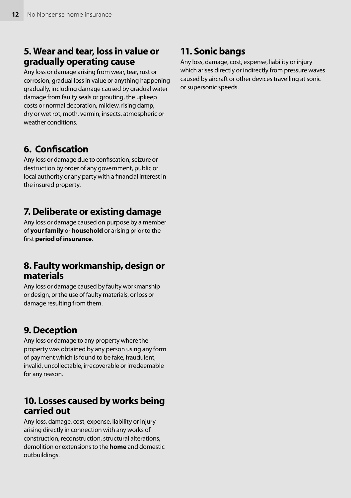### 5. Wear and tear, loss in value or gradually operating cause

Any loss or damage arising from wear, tear, rust or corrosion, gradual loss in value or anything happening gradually, including damage caused by gradual water damage from faulty seals or grouting, the upkeep costs or normal decoration, mildew, rising damp, dry or wet rot, moth, vermin, insects, atmospheric or weather conditions.

### 6. Confiscation

Any loss or damage due to confiscation, seizure or destruction by order of any government, public or local authority or any party with a financial interest in the insured property.

### 7. Deliberate or existing damage

Any loss or damage caused on purpose by a member of **your family** or **household** or arising prior to the first **period of insurance**.

### 8. Faulty workmanship, design or materials

Any loss or damage caused by faulty workmanship or design, or the use of faulty materials, or loss or damage resulting from them.

### 9. Deception

Any loss or damage to any property where the property was obtained by any person using any form of payment which is found to be fake, fraudulent, invalid, uncollectable, irrecoverable or irredeemable for any reason.

### 10. Losses caused by works being carried out

Any loss, damage, cost, expense, liability or injury arising directly in connection with any works of construction, reconstruction, structural alterations, demolition or extensions to the **home** and domestic outbuildings.

### 11. Sonic bangs

Any loss, damage, cost, expense, liability or injury which arises directly or indirectly from pressure waves caused by aircraft or other devices travelling at sonic or supersonic speeds.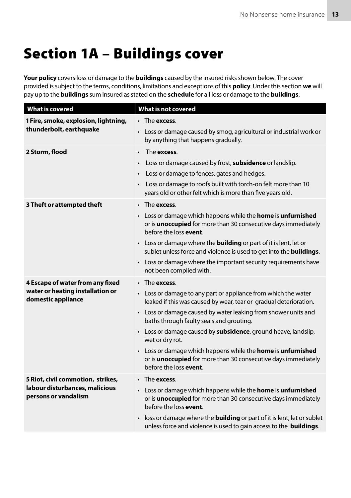## Section 1A – Buildings cover

**Your policy** covers loss or damage to the **buildings** caused by the insured risks shown below. The cover provided is subject to the terms, conditions, limitations and exceptions of this **policy**. Under this section **we** will pay up to the **buildings** sum insured as stated on the **schedule** for all loss or damage to the **buildings**.

| <b>What is covered</b>                                          | <b>What is not covered</b>                                                                                                                                                            |
|-----------------------------------------------------------------|---------------------------------------------------------------------------------------------------------------------------------------------------------------------------------------|
| 1 Fire, smoke, explosion, lightning,<br>thunderbolt, earthquake | • The <b>excess</b> .                                                                                                                                                                 |
|                                                                 | • Loss or damage caused by smog, agricultural or industrial work or<br>by anything that happens gradually.                                                                            |
| 2 Storm, flood                                                  | The excess.<br>$\bullet$                                                                                                                                                              |
|                                                                 | Loss or damage caused by frost, subsidence or landslip.                                                                                                                               |
|                                                                 | Loss or damage to fences, gates and hedges.<br>٠                                                                                                                                      |
|                                                                 | Loss or damage to roofs built with torch-on felt more than 10<br>years old or other felt which is more than five years old.                                                           |
| 3 Theft or attempted theft                                      | $\cdot$ The excess.                                                                                                                                                                   |
|                                                                 | • Loss or damage which happens while the <b>home</b> is <b>unfurnished</b><br>or is <b>unoccupied</b> for more than 30 consecutive days immediately<br>before the loss <b>event</b> . |
|                                                                 | • Loss or damage where the <b>building</b> or part of it is lent, let or<br>sublet unless force and violence is used to get into the <b>buildings</b> .                               |
|                                                                 | • Loss or damage where the important security requirements have<br>not been complied with.                                                                                            |
| 4 Escape of water from any fixed                                | $\cdot$ The excess.                                                                                                                                                                   |
| water or heating installation or<br>domestic appliance          | • Loss or damage to any part or appliance from which the water<br>leaked if this was caused by wear, tear or gradual deterioration.                                                   |
|                                                                 | • Loss or damage caused by water leaking from shower units and<br>baths through faulty seals and grouting.                                                                            |
|                                                                 | • Loss or damage caused by subsidence, ground heave, landslip,<br>wet or dry rot.                                                                                                     |
|                                                                 | Loss or damage which happens while the <b>home</b> is <b>unfurnished</b><br>or is <b>unoccupied</b> for more than 30 consecutive days immediately<br>before the loss event.           |
| 5 Riot, civil commotion, strikes,                               | $\cdot$ The excess.                                                                                                                                                                   |
| labour disturbances, malicious<br>persons or vandalism          | • Loss or damage which happens while the <b>home</b> is <b>unfurnished</b><br>or is <b>unoccupied</b> for more than 30 consecutive days immediately<br>before the loss <b>event</b> . |
|                                                                 | loss or damage where the <b>building</b> or part of it is lent, let or sublet<br>unless force and violence is used to gain access to the buildings.                                   |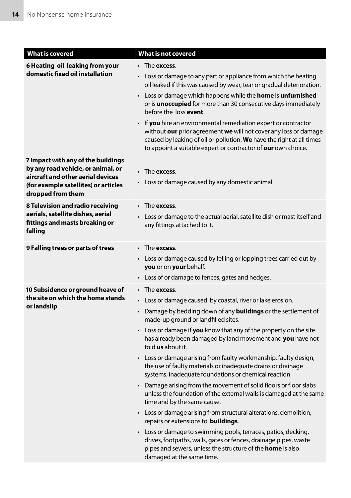| <b>What is covered</b>                                                                                                                                                     | What is not covered                                                                                                                                                                                                                                                                                                                                                                                                                                                                                                                                                                                                                                                                                                                                                                                                                                                                                                                                                                                                                                                                                          |
|----------------------------------------------------------------------------------------------------------------------------------------------------------------------------|--------------------------------------------------------------------------------------------------------------------------------------------------------------------------------------------------------------------------------------------------------------------------------------------------------------------------------------------------------------------------------------------------------------------------------------------------------------------------------------------------------------------------------------------------------------------------------------------------------------------------------------------------------------------------------------------------------------------------------------------------------------------------------------------------------------------------------------------------------------------------------------------------------------------------------------------------------------------------------------------------------------------------------------------------------------------------------------------------------------|
| 6 Heating oil leaking from your<br>domestic fixed oil installation                                                                                                         | $\cdot$ The excess.<br>• Loss or damage to any part or appliance from which the heating<br>oil leaked if this was caused by wear, tear or gradual deterioration.<br>• Loss or damage which happens while the <b>home</b> is <b>unfurnished</b><br>or is <b>unoccupied</b> for more than 30 consecutive days immediately<br>before the loss event.<br>• If you hire an environmental remediation expert or contractor<br>without our prior agreement we will not cover any loss or damage<br>caused by leaking of oil or pollution. We have the right at all times<br>to appoint a suitable expert or contractor of our own choice.                                                                                                                                                                                                                                                                                                                                                                                                                                                                           |
| 7 Impact with any of the buildings<br>by any road vehicle, or animal, or<br>aircraft and other aerial devices<br>(for example satellites) or articles<br>dropped from them | $\cdot$ The excess.<br>• Loss or damage caused by any domestic animal.                                                                                                                                                                                                                                                                                                                                                                                                                                                                                                                                                                                                                                                                                                                                                                                                                                                                                                                                                                                                                                       |
| 8 Television and radio receiving<br>aerials, satellite dishes, aerial<br>fittings and masts breaking or<br>falling                                                         | $\cdot$ The excess.<br>• Loss or damage to the actual aerial, satellite dish or mast itself and<br>any fittings attached to it.                                                                                                                                                                                                                                                                                                                                                                                                                                                                                                                                                                                                                                                                                                                                                                                                                                                                                                                                                                              |
| 9 Falling trees or parts of trees                                                                                                                                          | The <b>excess</b> .<br>• Loss or damage caused by felling or lopping trees carried out by<br>you or on your behalf.<br>• Loss of or damage to fences, gates and hedges.                                                                                                                                                                                                                                                                                                                                                                                                                                                                                                                                                                                                                                                                                                                                                                                                                                                                                                                                      |
| 10 Subsidence or ground heave of<br>the site on which the home stands<br>or landslip                                                                                       | $\cdot$ The excess.<br>Loss or damage caused by coastal, river or lake erosion.<br>Damage by bedding down of any <b>buildings</b> or the settlement of<br>$\bullet$<br>made-up ground or landfilled sites.<br>• Loss or damage if <b>you</b> know that any of the property on the site<br>has already been damaged by land movement and you have not<br>told us about it.<br>• Loss or damage arising from faulty workmanship, faulty design,<br>the use of faulty materials or inadequate drains or drainage<br>systems, inadequate foundations or chemical reaction.<br>• Damage arising from the movement of solid floors or floor slabs<br>unless the foundation of the external walls is damaged at the same<br>time and by the same cause.<br>• Loss or damage arising from structural alterations, demolition,<br>repairs or extensions to <b>buildings</b> .<br>• Loss or damage to swimming pools, terraces, patios, decking,<br>drives, footpaths, walls, gates or fences, drainage pipes, waste<br>pipes and sewers, unless the structure of the <b>home</b> is also<br>damaged at the same time. |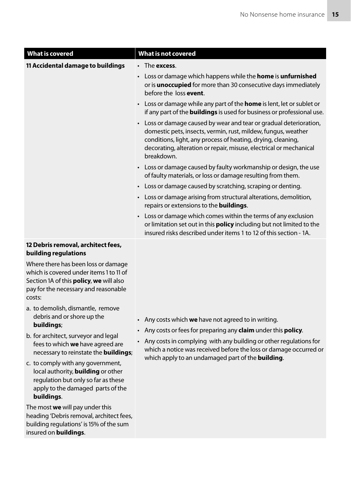| <b>What is covered</b>                                     | What is not covered                                                                                                                                                                                                                                                                     |
|------------------------------------------------------------|-----------------------------------------------------------------------------------------------------------------------------------------------------------------------------------------------------------------------------------------------------------------------------------------|
| 11 Accidental damage to buildings                          | $\cdot$ The excess.                                                                                                                                                                                                                                                                     |
|                                                            | $\cdot$ Loss or damage which happens while the <b>home</b> is <b>unfurnished</b><br>or is <b>unoccupied</b> for more than 30 consecutive days immediately<br>before the loss event.                                                                                                     |
|                                                            | • Loss or damage while any part of the <b>home</b> is lent, let or sublet or<br>if any part of the <b>buildings</b> is used for business or professional use.                                                                                                                           |
|                                                            | • Loss or damage caused by wear and tear or gradual deterioration,<br>domestic pets, insects, vermin, rust, mildew, fungus, weather<br>conditions, light, any process of heating, drying, cleaning,<br>decorating, alteration or repair, misuse, electrical or mechanical<br>breakdown. |
|                                                            | • Loss or damage caused by faulty workmanship or design, the use<br>of faulty materials, or loss or damage resulting from them.                                                                                                                                                         |
|                                                            | Loss or damage caused by scratching, scraping or denting.<br>$\bullet$                                                                                                                                                                                                                  |
|                                                            | • Loss or damage arising from structural alterations, demolition,<br>repairs or extensions to the <b>buildings</b> .                                                                                                                                                                    |
|                                                            | • Loss or damage which comes within the terms of any exclusion<br>or limitation set out in this <b>policy</b> including but not limited to the<br>insured risks described under items 1 to 12 of this section - 1A.                                                                     |
| 12 Debris removal, architect fees,<br>building regulations |                                                                                                                                                                                                                                                                                         |
| Where there has been loss or damage                        |                                                                                                                                                                                                                                                                                         |

which is covered under items 1 to 11 of Section 1A of this **policy**, **we** will also pay for the necessary and reasonable costs:

- a. to demolish, dismantle, remove debris and or shore up the **buildings**;
- b. for architect, surveyor and legal fees to which **we** have agreed are necessary to reinstate the **buildings**;
- c. to comply with any government, local authority, **building** or other regulation but only so far as these apply to the damaged parts of the **buildings**.

The most **we** will pay under this heading 'Debris removal, architect fees, building regulations' is 15% of the sum insured on **buildings**.

- Any costs which **we** have not agreed to in writing.
- Any costs or fees for preparing any **claim** under this **policy**.
- Any costs in complying with any building or other regulations for which a notice was received before the loss or damage occurred or which apply to an undamaged part of the **building**.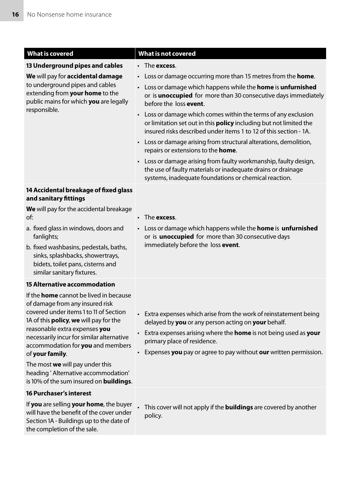| <b>What is covered</b>                                                                                                                                                                                                                                     | <b>What is not covered</b>                                                                                                                                                                                                  |
|------------------------------------------------------------------------------------------------------------------------------------------------------------------------------------------------------------------------------------------------------------|-----------------------------------------------------------------------------------------------------------------------------------------------------------------------------------------------------------------------------|
| 13 Underground pipes and cables                                                                                                                                                                                                                            | $\cdot$ The excess.                                                                                                                                                                                                         |
| We will pay for accidental damage<br>to underground pipes and cables<br>extending from your home to the<br>public mains for which you are legally                                                                                                          | Loss or damage occurring more than 15 metres from the <b>home</b> .                                                                                                                                                         |
|                                                                                                                                                                                                                                                            | Loss or damage which happens while the <b>home</b> is <b>unfurnished</b><br>$\bullet$<br>or is <b>unoccupied</b> for more than 30 consecutive days immediately<br>before the loss event.                                    |
| responsible.                                                                                                                                                                                                                                               | Loss or damage which comes within the terms of any exclusion<br>$\bullet$<br>or limitation set out in this <b>policy</b> including but not limited the<br>insured risks described under items 1 to 12 of this section - 1A. |
|                                                                                                                                                                                                                                                            | • Loss or damage arising from structural alterations, demolition,<br>repairs or extensions to the <b>home</b> .                                                                                                             |
|                                                                                                                                                                                                                                                            | • Loss or damage arising from faulty workmanship, faulty design,<br>the use of faulty materials or inadequate drains or drainage<br>systems, inadequate foundations or chemical reaction.                                   |
| 14 Accidental breakage of fixed glass<br>and sanitary fittings                                                                                                                                                                                             |                                                                                                                                                                                                                             |
| We will pay for the accidental breakage<br>of:                                                                                                                                                                                                             | The <b>excess</b> .                                                                                                                                                                                                         |
| a. fixed glass in windows, doors and<br>fanlights;                                                                                                                                                                                                         | Loss or damage which happens while the home is unfurnished<br>or is <b>unoccupied</b> for more than 30 consecutive days<br>immediately before the loss event.                                                               |
| b. fixed washbasins, pedestals, baths,<br>sinks, splashbacks, showertrays,<br>bidets, toilet pans, cisterns and<br>similar sanitary fixtures.                                                                                                              |                                                                                                                                                                                                                             |
| <b>15 Alternative accommodation</b>                                                                                                                                                                                                                        |                                                                                                                                                                                                                             |
| If the <b>home</b> cannot be lived in because<br>of damage from any insured risk<br>covered under items 1 to 11 of Section<br>1A of this <b>policy</b> , we will pay for the<br>reasonable extra expenses you<br>necessarily incur for similar alternative | • Extra expenses which arise from the work of reinstatement being<br>delayed by you or any person acting on your behalf.<br>Extra expenses arising where the home is not being used as your                                 |
| accommodation for you and members<br>of your family.                                                                                                                                                                                                       | primary place of residence.<br>• Expenses you pay or agree to pay without our written permission.                                                                                                                           |
| The most we will pay under this<br>heading ' Alternative accommodation'<br>is 10% of the sum insured on <b>buildings</b> .                                                                                                                                 |                                                                                                                                                                                                                             |
| <b>16 Purchaser's interest</b>                                                                                                                                                                                                                             |                                                                                                                                                                                                                             |
| If you are selling your home, the buyer<br>will have the benefit of the cover under<br>Section 1A - Buildings up to the date of<br>the completion of the sale.                                                                                             | This cover will not apply if the <b>buildings</b> are covered by another<br>policy.                                                                                                                                         |
|                                                                                                                                                                                                                                                            |                                                                                                                                                                                                                             |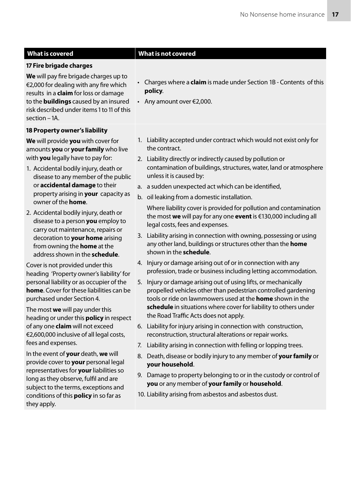#### **17 Fire brigade charges**

**We** will pay fire brigade charges up to €2,000 for dealing with any fire which results in a **claim** for loss or damage to the **buildings** caused by an insured risk described under items 1 to 11 of this section – 1A.

#### **18 Property owner's liability**

**We** will provide **you** with cover for amounts **you** or **your family** who live with **you** legally have to pay for:

- 1. Accidental bodily injury, death or disease to any member of the public or **accidental damage** to their property arising in **your** capacity as owner of the **home**.
- 2. Accidental bodily injury, death or disease to a person **you** employ to carry out maintenance, repairs or decoration to **your home** arising from owning the **home** at the address shown in the **schedule**.

Cover is not provided under this heading 'Property owner's liability' for personal liability or as occupier of the **home**. Cover for these liabilities can be purchased under Section 4.

The most **we** will pay under this heading or under this **policy** in respect of any one **claim** will not exceed €2,600,000 inclusive of all legal costs, fees and expenses.

In the event of **your** death, **we** will provide cover to **your** personal legal representatives for **your** liabilities so long as they observe, fulfil and are subject to the terms, exceptions and conditions of this **policy** in so far as they apply.

#### **What is covered What is not covered**

- Charges where a **claim** is made under Section 1B Contents of this **policy**.
- Any amount over €2,000.
- 1. Liability accepted under contract which would not exist only for the contract.
- 2. Liability directly or indirectly caused by pollution or contamination of buildings, structures, water, land or atmosphere unless it is caused by:
- a. a sudden unexpected act which can be identified,
- b. oil leaking from a domestic installation.

Where liability cover is provided for pollution and contamination the most **we** will pay for any one **event** is €130,000 including all legal costs, fees and expenses.

- 3. Liability arising in connection with owning, possessing or using any other land, buildings or structures other than the **home** shown in the **schedule**.
- 4. Injury or damage arising out of or in connection with any profession, trade or business including letting accommodation.
- 5. Injury or damage arising out of using lifts, or mechanically propelled vehicles other than pedestrian controlled gardening tools or ride on lawnmowers used at the **home** shown in the **schedule** in situations where cover for liability to others under the Road Traffic Acts does not apply.
- 6. Liability for injury arising in connection with construction, reconstruction, structural alterations or repair works.
- 7. Liability arising in connection with felling or lopping trees.
- 8. Death, disease or bodily injury to any member of **your family** or **your household**.
- 9. Damage to property belonging to or in the custody or control of **you** or any member of **your family** or **household**.
- 10. Liability arising from asbestos and asbestos dust.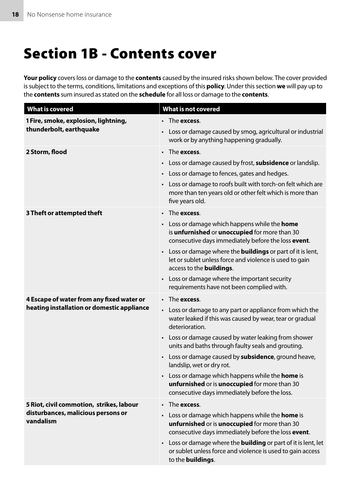## Section 1B - Contents cover

**Your policy** covers loss or damage to the **contents** caused by the insured risks shown below. The cover provided is subject to the terms, conditions, limitations and exceptions of this **policy**. Under this section **we** will pay up to the **contents** sum insured as stated on the **schedule** for all loss or damage to the **contents**.

| <b>What is covered</b>                                          | <b>What is not covered</b>                                                                                                                                        |
|-----------------------------------------------------------------|-------------------------------------------------------------------------------------------------------------------------------------------------------------------|
| 1 Fire, smoke, explosion, lightning,<br>thunderbolt, earthquake | $\cdot$ The excess.                                                                                                                                               |
|                                                                 | • Loss or damage caused by smog, agricultural or industrial<br>work or by anything happening gradually.                                                           |
| 2 Storm, flood                                                  | • The excess.                                                                                                                                                     |
|                                                                 | • Loss or damage caused by frost, <b>subsidence</b> or landslip.                                                                                                  |
|                                                                 | • Loss or damage to fences, gates and hedges.                                                                                                                     |
|                                                                 | • Loss or damage to roofs built with torch-on felt which are<br>more than ten years old or other felt which is more than<br>five years old.                       |
| 3 Theft or attempted theft                                      | The <b>excess</b> .                                                                                                                                               |
|                                                                 | • Loss or damage which happens while the <b>home</b><br>is unfurnished or unoccupied for more than 30<br>consecutive days immediately before the loss event.      |
|                                                                 | • Loss or damage where the <b>buildings</b> or part of it is lent,<br>let or sublet unless force and violence is used to gain<br>access to the <b>buildings</b> . |
|                                                                 | • Loss or damage where the important security<br>requirements have not been complied with.                                                                        |
| 4 Escape of water from any fixed water or                       | • The excess.                                                                                                                                                     |
| heating installation or domestic appliance                      | • Loss or damage to any part or appliance from which the<br>water leaked if this was caused by wear, tear or gradual<br>deterioration.                            |
|                                                                 | • Loss or damage caused by water leaking from shower<br>units and baths through faulty seals and grouting.                                                        |
|                                                                 | • Loss or damage caused by <b>subsidence</b> , ground heave,<br>landslip, wet or dry rot.                                                                         |
|                                                                 | • Loss or damage which happens while the <b>home</b> is<br>unfurnished or is unoccupied for more than 30<br>consecutive days immediately before the loss.         |
| 5 Riot, civil commotion, strikes, labour                        | The <b>excess</b> .                                                                                                                                               |
| disturbances, malicious persons or<br>vandalism                 | • Loss or damage which happens while the <b>home</b> is<br>unfurnished or is unoccupied for more than 30<br>consecutive days immediately before the loss event.   |
|                                                                 | • Loss or damage where the <b>building</b> or part of it is lent, let<br>or sublet unless force and violence is used to gain access<br>to the <b>buildings</b> .  |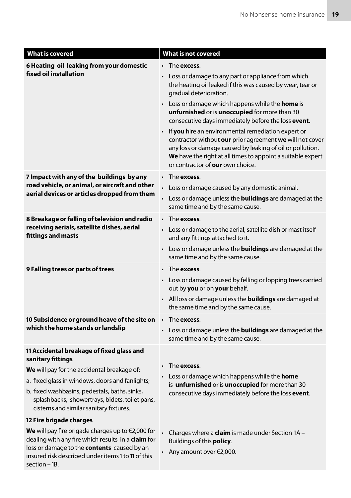| <b>What is covered</b>                                                                                                                                                                                                                     | What is not covered                                                                                                                                                                                                                                                              |
|--------------------------------------------------------------------------------------------------------------------------------------------------------------------------------------------------------------------------------------------|----------------------------------------------------------------------------------------------------------------------------------------------------------------------------------------------------------------------------------------------------------------------------------|
| 6 Heating oil leaking from your domestic<br>fixed oil installation                                                                                                                                                                         | $\cdot$ The excess.                                                                                                                                                                                                                                                              |
|                                                                                                                                                                                                                                            | • Loss or damage to any part or appliance from which<br>the heating oil leaked if this was caused by wear, tear or<br>gradual deterioration.                                                                                                                                     |
|                                                                                                                                                                                                                                            | • Loss or damage which happens while the <b>home</b> is<br>unfurnished or is unoccupied for more than 30<br>consecutive days immediately before the loss event.                                                                                                                  |
|                                                                                                                                                                                                                                            | • If you hire an environmental remediation expert or<br>contractor without our prior agreement we will not cover<br>any loss or damage caused by leaking of oil or pollution.<br>We have the right at all times to appoint a suitable expert<br>or contractor of our own choice. |
| 7 Impact with any of the buildings by any                                                                                                                                                                                                  | • The excess.                                                                                                                                                                                                                                                                    |
| road vehicle, or animal, or aircraft and other                                                                                                                                                                                             | Loss or damage caused by any domestic animal.                                                                                                                                                                                                                                    |
| aerial devices or articles dropped from them                                                                                                                                                                                               | Loss or damage unless the <b>buildings</b> are damaged at the<br>$\bullet$<br>same time and by the same cause.                                                                                                                                                                   |
| 8 Breakage or falling of television and radio                                                                                                                                                                                              | $\cdot$ The excess.                                                                                                                                                                                                                                                              |
| receiving aerials, satellite dishes, aerial<br>fittings and masts                                                                                                                                                                          | • Loss or damage to the aerial, satellite dish or mast itself<br>and any fittings attached to it.                                                                                                                                                                                |
|                                                                                                                                                                                                                                            | • Loss or damage unless the <b>buildings</b> are damaged at the<br>same time and by the same cause.                                                                                                                                                                              |
| 9 Falling trees or parts of trees                                                                                                                                                                                                          | • The excess.                                                                                                                                                                                                                                                                    |
|                                                                                                                                                                                                                                            | • Loss or damage caused by felling or lopping trees carried<br>out by you or on your behalf.                                                                                                                                                                                     |
|                                                                                                                                                                                                                                            | • All loss or damage unless the <b>buildings</b> are damaged at<br>the same time and by the same cause.                                                                                                                                                                          |
| 10 Subsidence or ground heave of the site on                                                                                                                                                                                               | $\cdot$ The excess.                                                                                                                                                                                                                                                              |
| which the home stands or landslip                                                                                                                                                                                                          | • Loss or damage unless the <b>buildings</b> are damaged at the<br>same time and by the same cause.                                                                                                                                                                              |
| 11 Accidental breakage of fixed glass and<br>sanitary fittings                                                                                                                                                                             |                                                                                                                                                                                                                                                                                  |
| We will pay for the accidental breakage of:                                                                                                                                                                                                | $\cdot$ The excess.                                                                                                                                                                                                                                                              |
| a. fixed glass in windows, doors and fanlights;                                                                                                                                                                                            | • Loss or damage which happens while the <b>home</b><br>is unfurnished or is unoccupied for more than 30                                                                                                                                                                         |
| b. fixed washbasins, pedestals, baths, sinks,<br>splashbacks, showertrays, bidets, toilet pans,<br>cisterns and similar sanitary fixtures.                                                                                                 | consecutive days immediately before the loss event.                                                                                                                                                                                                                              |
| 12 Fire brigade charges                                                                                                                                                                                                                    |                                                                                                                                                                                                                                                                                  |
| We will pay fire brigade charges up to $\epsilon$ 2,000 for<br>dealing with any fire which results in a claim for<br>loss or damage to the contents caused by an<br>insured risk described under items 1 to 11 of this<br>$section - 1B$ . | Charges where a <b>claim</b> is made under Section 1A -<br>Buildings of this <b>policy</b> .<br>$\cdot$ Any amount over $\epsilon$ 2,000.                                                                                                                                        |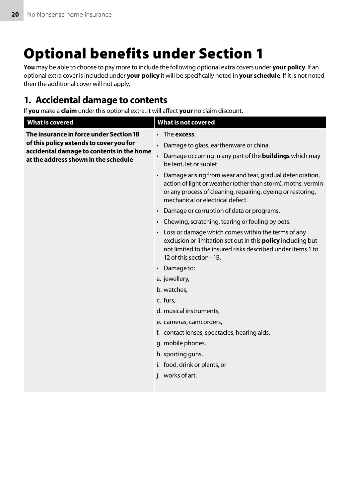## Optional benefits under Section 1

**You** may be able to choose to pay more to include the following optional extra covers under **your policy**. If an optional extra cover is included under **your policy** it will be specifically noted in **your schedule**. If it is not noted then the additional cover will not apply.

### 1. Accidental damage to contents

If **you** make a **claim** under this optional extra, it will affect **your** no claim discount.

| <b>What is covered</b>                                                                                                                                                  | <b>What is not covered</b>                                                                                                                                                                                                     |
|-------------------------------------------------------------------------------------------------------------------------------------------------------------------------|--------------------------------------------------------------------------------------------------------------------------------------------------------------------------------------------------------------------------------|
| The insurance in force under Section 1B<br>of this policy extends to cover you for<br>accidental damage to contents in the home<br>at the address shown in the schedule | The excess.<br>$\bullet$                                                                                                                                                                                                       |
|                                                                                                                                                                         | Damage to glass, earthenware or china.                                                                                                                                                                                         |
|                                                                                                                                                                         | Damage occurring in any part of the <b>buildings</b> which may<br>be lent, let or sublet.                                                                                                                                      |
|                                                                                                                                                                         | • Damage arising from wear and tear, gradual deterioration,<br>action of light or weather (other than storm), moths, vermin<br>or any process of cleaning, repairing, dyeing or restoring,<br>mechanical or electrical defect. |
|                                                                                                                                                                         | • Damage or corruption of data or programs.                                                                                                                                                                                    |
|                                                                                                                                                                         | • Chewing, scratching, tearing or fouling by pets.                                                                                                                                                                             |
|                                                                                                                                                                         | • Loss or damage which comes within the terms of any<br>exclusion or limitation set out in this <b>policy</b> including but<br>not limited to the insured risks described under items 1 to<br>12 of this section - 1B.         |
|                                                                                                                                                                         | • Damage to:                                                                                                                                                                                                                   |
|                                                                                                                                                                         | a. jewellery,                                                                                                                                                                                                                  |
|                                                                                                                                                                         | b. watches.                                                                                                                                                                                                                    |
|                                                                                                                                                                         | c. furs.                                                                                                                                                                                                                       |
|                                                                                                                                                                         | d. musical instruments,                                                                                                                                                                                                        |
|                                                                                                                                                                         | e. cameras, camcorders,                                                                                                                                                                                                        |
|                                                                                                                                                                         | f. contact lenses, spectacles, hearing aids,                                                                                                                                                                                   |
|                                                                                                                                                                         | g. mobile phones,                                                                                                                                                                                                              |
|                                                                                                                                                                         | h. sporting guns,                                                                                                                                                                                                              |
|                                                                                                                                                                         | i. food, drink or plants, or                                                                                                                                                                                                   |
|                                                                                                                                                                         | j. works of art.                                                                                                                                                                                                               |
|                                                                                                                                                                         |                                                                                                                                                                                                                                |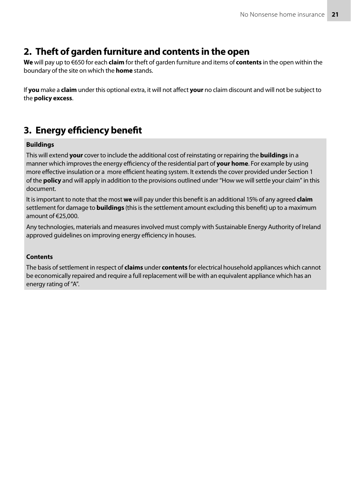### 2. Theft of garden furniture and contents in the open

**We** will pay up to €650 for each **claim** for theft of garden furniture and items of **contents** in the open within the boundary of the site on which the **home** stands.

If **you** make a **claim** under this optional extra, it will not affect **your** no claim discount and will not be subject to the **policy excess**.

### 3. Energy efficiency benefit

#### **Buildings**

This will extend **your** cover to include the additional cost of reinstating or repairing the **buildings** in a manner which improves the energy efficiency of the residential part of **your home**. For example by using more effective insulation or a more efficient heating system. It extends the cover provided under Section 1 of the **policy** and will apply in addition to the provisions outlined under "How we will settle your claim" in this document.

It is important to note that the most **we** will pay under this benefit is an additional 15% of any agreed **claim** settlement for damage to **buildings** (this is the settlement amount excluding this benefit) up to a maximum amount of €25,000.

Any technologies, materials and measures involved must comply with Sustainable Energy Authority of Ireland approved guidelines on improving energy efficiency in houses.

#### **Contents**

The basis of settlement in respect of **claims** under **contents** for electrical household appliances which cannot be economically repaired and require a full replacement will be with an equivalent appliance which has an energy rating of "A".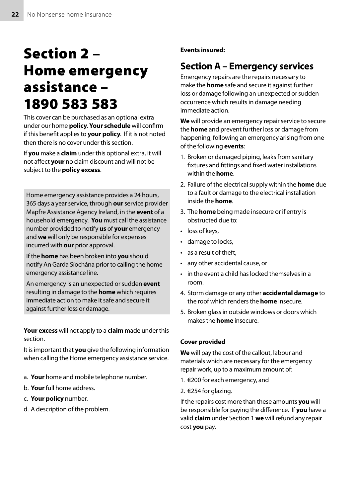## Section 2 – Home emergency assistance – 1890 583 583

This cover can be purchased as an optional extra under our home **policy**. **Your schedule** will confirm if this benefit applies to **your policy**. If it is not noted then there is no cover under this section.

If **you** make a **claim** under this optional extra, it will not affect **your** no claim discount and will not be subject to the **policy excess**.

Home emergency assistance provides a 24 hours, 365 days a year service, through **our** service provider Mapfre Assistance Agency Ireland, in the **event** of a household emergency. **You** must call the assistance number provided to notify **us** of **your** emergency and **we** will only be responsible for expenses incurred with **our** prior approval.

If the **home** has been broken into **you** should notify An Garda Síochána prior to calling the home emergency assistance line.

An emergency is an unexpected or sudden **event** resulting in damage to the **home** which requires immediate action to make it safe and secure it against further loss or damage.

**Your excess** will not apply to a **claim** made under this section.

It is important that **you** give the following information when calling the Home emergency assistance service.

- a. **Your** home and mobile telephone number.
- b. **Your** full home address.
- c. **Your policy** number.
- d. A description of the problem.

**Events insured:**

### **Section A – Emergency services**

Emergency repairs are the repairs necessary to make the **home** safe and secure it against further loss or damage following an unexpected or sudden occurrence which results in damage needing immediate action.

**We** will provide an emergency repair service to secure the **home** and prevent further loss or damage from happening, following an emergency arising from one of the following **events**:

- 1. Broken or damaged piping, leaks from sanitary fixtures and fittings and fixed water installations within the **home**.
- 2. Failure of the electrical supply within the **home** due to a fault or damage to the electrical installation inside the **home**.
- 3. The **home** being made insecure or if entry is obstructed due to:
- loss of keys,
- damage to locks,
- as a result of theft.
- any other accidental cause, or
- in the event a child has locked themselves in a room.
- 4. Storm damage or any other **accidental damage** to the roof which renders the **home** insecure.
- 5. Broken glass in outside windows or doors which makes the **home** insecure.

#### **Cover provided**

**We** will pay the cost of the callout, labour and materials which are necessary for the emergency repair work, up to a maximum amount of:

- 1. €200 for each emergency, and
- 2. €254 for glazing.

If the repairs cost more than these amounts **you** will be responsible for paying the difference. If **you** have a valid **claim** under Section 1 **we** will refund any repair cost **you** pay.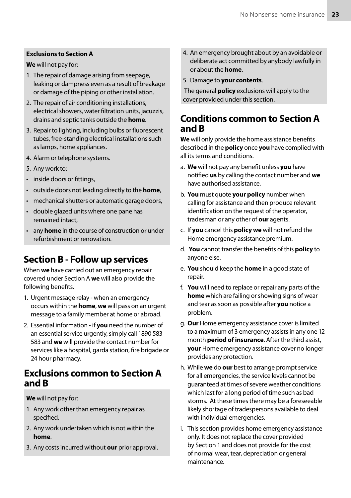#### **Exclusions to Section A**

**We** will not pay for:

- 1. The repair of damage arising from seepage, leaking or dampness even as a result of breakage or damage of the piping or other installation.
- 2. The repair of air conditioning installations, electrical showers, water filtration units, jacuzzis, drains and septic tanks outside the **home**.
- 3. Repair to lighting, including bulbs or fluorescent tubes, free-standing electrical installations such as lamps, home appliances.
- 4. Alarm or telephone systems.
- 5. Any work to:
- inside doors or fittings,
- outside doors not leading directly to the **home**,
- mechanical shutters or automatic garage doors,
- double glazed units where one pane has remained intact,
- any **home** in the course of construction or under refurbishment or renovation.

### **Section B - Follow up services**

When **we** have carried out an emergency repair covered under Section A **we** will also provide the following benefits.

- 1. Urgent message relay when an emergency occurs within the **home**, **we** will pass on an urgent message to a family member at home or abroad.
- 2. Essential information if **you** need the number of an essential service urgently, simply call 1890 583 583 and **we** will provide the contact number for services like a hospital, garda station, fire brigade or 24 hour pharmacy.

### **Exclusions common to Section A and B**

**We** will not pay for:

- 1. Any work other than emergency repair as specified.
- 2. Any work undertaken which is not within the **home**.
- 3. Any costs incurred without **our** prior approval.
- 4. An emergency brought about by an avoidable or deliberate act committed by anybody lawfully in or about the **home**.
- 5. Damage to **your contents**.

 The general **policy** exclusions will apply to the cover provided under this section.

### **Conditions common to Section A and B**

**We** will only provide the home assistance benefits described in the **policy** once **you** have complied with all its terms and conditions.

- a. **We** will not pay any benefit unless **you** have notified **us** by calling the contact number and **we** have authorised assistance.
- b. **You** must quote **your policy** number when calling for assistance and then produce relevant identification on the request of the operator, tradesman or any other of **our** agents.
- c. If **you** cancel this **policy we** will not refund the Home emergency assistance premium.
- d. **You** cannot transfer the benefits of this **policy** to anyone else.
- e. **You** should keep the **home** in a good state of repair.
- f. **You** will need to replace or repair any parts of the **home** which are failing or showing signs of wear and tear as soon as possible after **you** notice a problem.
- g. **Our** Home emergency assistance cover is limited to a maximum of 3 emergency assists in any one 12 month **period of insurance**. After the third assist, **your** Home emergency assistance cover no longer provides any protection.
- h. While **we** do **our** best to arrange prompt service for all emergencies, the service levels cannot be guaranteed at times of severe weather conditions which last for a long period of time such as bad storms. At these times there may be a foreseeable likely shortage of tradespersons available to deal with individual emergencies.
- i. This section provides home emergency assistance only. It does not replace the cover provided by Section 1 and does not provide for the cost of normal wear, tear, depreciation or general maintenance.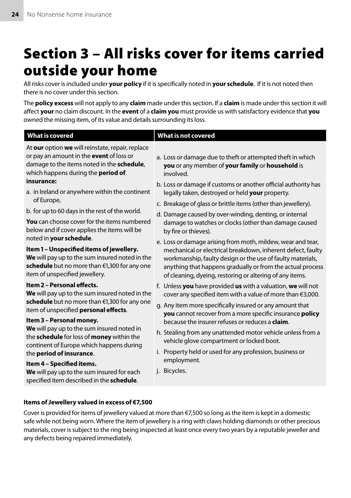## Section 3 – All risks cover for items carried outside your home

All risks cover is included under **your policy** if it is specifically noted in **your schedule**. If it is not noted then there is no cover under this section.

The **policy excess** will not apply to any **claim** made under this section. If a **claim** is made under this section it will affect **your** no claim discount. In the **event** of a **claim you** must provide us with satisfactory evidence that **you** owned the missing item, of its value and details surrounding its loss.

| <b>What is covered</b>                                                                                                                                                                                                                                                                                                                                                                                                                                                                                                                                                                                                                                                                                                                                                                                                                                                                                                                   | <b>What is not covered</b>                                                                                                                                                                                                                                                                                                                                                                                                                                                                                                                                                                                                                                                                                                                                                                                                                                                                                                                                                                                                                                                                                                                                         |
|------------------------------------------------------------------------------------------------------------------------------------------------------------------------------------------------------------------------------------------------------------------------------------------------------------------------------------------------------------------------------------------------------------------------------------------------------------------------------------------------------------------------------------------------------------------------------------------------------------------------------------------------------------------------------------------------------------------------------------------------------------------------------------------------------------------------------------------------------------------------------------------------------------------------------------------|--------------------------------------------------------------------------------------------------------------------------------------------------------------------------------------------------------------------------------------------------------------------------------------------------------------------------------------------------------------------------------------------------------------------------------------------------------------------------------------------------------------------------------------------------------------------------------------------------------------------------------------------------------------------------------------------------------------------------------------------------------------------------------------------------------------------------------------------------------------------------------------------------------------------------------------------------------------------------------------------------------------------------------------------------------------------------------------------------------------------------------------------------------------------|
| At our option we will reinstate, repair, replace<br>or pay an amount in the event of loss or<br>damage to the items noted in the schedule,<br>which happens during the <b>period of</b><br>insurance:<br>a. in Ireland or anywhere within the continent<br>of Europe,<br>b. for up to 60 days in the rest of the world.<br><b>You</b> can choose cover for the items numbered<br>below and if cover applies the items will be<br>noted in your schedule.<br>Item 1 - Unspecified items of jewellery.<br>We will pay up to the sum insured noted in the<br>schedule but no more than €1,300 for any one<br>item of unspecified jewellery.<br>Item 2 - Personal effects.<br>We will pay up to the sum insured noted in the<br>schedule but no more than €1,300 for any one<br>item of unspecified personal effects.<br>Item 3 - Personal money.<br>We will pay up to the sum insured noted in<br>the schedule for loss of money within the | a. Loss or damage due to theft or attempted theft in which<br>you or any member of your family or household is<br>involved.<br>b. Loss or damage if customs or another official authority has<br>legally taken, destroyed or held your property.<br>c. Breakage of glass or brittle items (other than jewellery).<br>d. Damage caused by over-winding, denting, or internal<br>damage to watches or clocks (other than damage caused<br>by fire or thieves).<br>e. Loss or damage arising from moth, mildew, wear and tear,<br>mechanical or electrical breakdown, inherent defect, faulty<br>workmanship, faulty design or the use of faulty materials,<br>anything that happens gradually or from the actual process<br>of cleaning, dyeing, restoring or altering of any items.<br>f. Unless you have provided us with a valuation, we will not<br>cover any specified item with a value of more than €3,000.<br>g. Any item more specifically insured or any amount that<br>you cannot recover from a more specific insurance policy<br>because the insurer refuses or reduces a <b>claim</b> .<br>h. Stealing from any unattended motor vehicle unless from a |
| continent of Europe which happens during<br>the period of insurance.<br>Item 4 - Specified items.<br>We will pay up to the sum insured for each                                                                                                                                                                                                                                                                                                                                                                                                                                                                                                                                                                                                                                                                                                                                                                                          | vehicle glove compartment or locked boot.<br>i. Property held or used for any profession, business or<br>employment.<br>j. Bicycles.                                                                                                                                                                                                                                                                                                                                                                                                                                                                                                                                                                                                                                                                                                                                                                                                                                                                                                                                                                                                                               |
| specified item described in the schedule.                                                                                                                                                                                                                                                                                                                                                                                                                                                                                                                                                                                                                                                                                                                                                                                                                                                                                                |                                                                                                                                                                                                                                                                                                                                                                                                                                                                                                                                                                                                                                                                                                                                                                                                                                                                                                                                                                                                                                                                                                                                                                    |

#### **Items of Jewellery valued in excess of €7,500**

Cover is provided for items of jewellery valued at more than €7,500 so long as the item is kept in a domestic safe while not being worn. Where the item of jewellery is a ring with claws holding diamonds or other precious materials, cover is subject to the ring being inspected at least once every two years by a reputable jeweller and any defects being repaired immediately.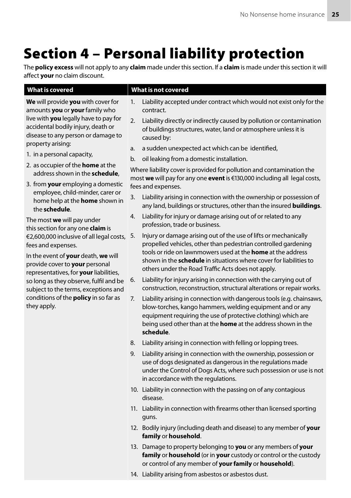## Section 4 – Personal liability protection

The **policy excess** will not apply to any **claim** made under this section. If a **claim** is made under this section it will affect **your** no claim discount.

**We** will provide **you** with cover for amounts **you** or **your** family who live with **you** legally have to pay for accidental bodily injury, death or disease to any person or damage to property arising:

- 1. in a personal capacity,
- 2. as occupier of the **home** at the address shown in the **schedule**,
- 3. from **your** employing a domestic employee, child-minder, carer or home help at the **home** shown in the **schedule**.

The most **we** will pay under this section for any one **claim** is €2,600,000 inclusive of all legal costs, fees and expenses.

In the event of **your** death, **we** will provide cover to **your** personal representatives, for **your** liabilities, so long as they observe, fulfil and be subject to the terms, exceptions and conditions of the **policy** in so far as they apply.

#### **What is covered What is not covered**

- 1. Liability accepted under contract which would not exist only for the contract.
- 2. Liability directly or indirectly caused by pollution or contamination of buildings structures, water, land or atmosphere unless it is caused by:
- a. a sudden unexpected act which can be identified,
- b. oil leaking from a domestic installation.

Where liability cover is provided for pollution and contamination the most **we** will pay for any one **event** is €130,000 including all legal costs, fees and expenses.

- 3. Liability arising in connection with the ownership or possession of any land, buildings or structures, other than the insured **buildings**.
- 4. Liability for injury or damage arising out of or related to any profession, trade or business.
- 5. Injury or damage arising out of the use of lifts or mechanically propelled vehicles, other than pedestrian controlled gardening tools or ride on lawnmowers used at the **home** at the address shown in the **schedule** in situations where cover for liabilities to others under the Road Traffic Acts does not apply.
- 6. Liability for injury arising in connection with the carrying out of construction, reconstruction, structural alterations or repair works.
- 7. Liability arising in connection with dangerous tools (e.g. chainsaws, blow-torches, kango hammers, welding equipment and or any equipment requiring the use of protective clothing) which are being used other than at the **home** at the address shown in the **schedule**.
- 8. Liability arising in connection with felling or lopping trees.
- 9. Liability arising in connection with the ownership, possession or use of dogs designated as dangerous in the regulations made under the Control of Dogs Acts, where such possession or use is not in accordance with the regulations.
- 10. Liability in connection with the passing on of any contagious disease.
- 11. Liability in connection with firearms other than licensed sporting guns.
- 12. Bodily injury (including death and disease) to any member of **your family** or **household**.
- 13. Damage to property belonging to **you** or any members of **your family** or **household** (or in **your** custody or control or the custody or control of any member of **your family** or **household**).
- 14. Liability arising from asbestos or asbestos dust.